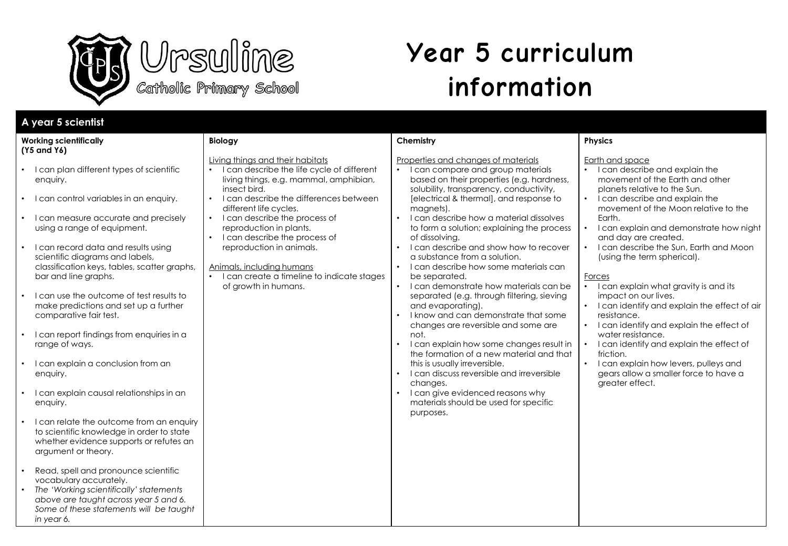



# **Year 5 curriculum information**

| A year 5 scientist                                                                                                                                                                                                                                                                                                                                                                                                                                                                                                                                                                                                                                                                                                                                                                                                                                                                                                                                                                                                                                        |                                                                                                                                                                                                                                                                                                                                                                                                                                                         |                                                                                                                                                                                                                                                                                                                                                                                                                                                                                                                                                                                                                                                                                                                                                                                                                                                                                                                                                                                      |                                                                                                                                                                                                                                                                                                                                                                                                                                                                                                                                                                                                                                                                                                                                                               |
|-----------------------------------------------------------------------------------------------------------------------------------------------------------------------------------------------------------------------------------------------------------------------------------------------------------------------------------------------------------------------------------------------------------------------------------------------------------------------------------------------------------------------------------------------------------------------------------------------------------------------------------------------------------------------------------------------------------------------------------------------------------------------------------------------------------------------------------------------------------------------------------------------------------------------------------------------------------------------------------------------------------------------------------------------------------|---------------------------------------------------------------------------------------------------------------------------------------------------------------------------------------------------------------------------------------------------------------------------------------------------------------------------------------------------------------------------------------------------------------------------------------------------------|--------------------------------------------------------------------------------------------------------------------------------------------------------------------------------------------------------------------------------------------------------------------------------------------------------------------------------------------------------------------------------------------------------------------------------------------------------------------------------------------------------------------------------------------------------------------------------------------------------------------------------------------------------------------------------------------------------------------------------------------------------------------------------------------------------------------------------------------------------------------------------------------------------------------------------------------------------------------------------------|---------------------------------------------------------------------------------------------------------------------------------------------------------------------------------------------------------------------------------------------------------------------------------------------------------------------------------------------------------------------------------------------------------------------------------------------------------------------------------------------------------------------------------------------------------------------------------------------------------------------------------------------------------------------------------------------------------------------------------------------------------------|
| <b>Working scientifically</b><br>(Y5 and Y6)                                                                                                                                                                                                                                                                                                                                                                                                                                                                                                                                                                                                                                                                                                                                                                                                                                                                                                                                                                                                              | <b>Biology</b>                                                                                                                                                                                                                                                                                                                                                                                                                                          | Chemistry                                                                                                                                                                                                                                                                                                                                                                                                                                                                                                                                                                                                                                                                                                                                                                                                                                                                                                                                                                            | <b>Physics</b>                                                                                                                                                                                                                                                                                                                                                                                                                                                                                                                                                                                                                                                                                                                                                |
| • I can plan different types of scientific<br>enquiry.<br>• I can control variables in an enquiry.<br>• I can measure accurate and precisely<br>using a range of equipment.<br>• I can record data and results using<br>scientific diagrams and labels,<br>classification keys, tables, scatter graphs,<br>bar and line graphs.<br>• I can use the outcome of test results to<br>make predictions and set up a further<br>comparative fair test.<br>• I can report findings from enquiries in a<br>range of ways.<br>I can explain a conclusion from an<br>$\bullet$<br>enquiry.<br>I can explain causal relationships in an<br>$\bullet$<br>enquiry.<br>I can relate the outcome from an enquiry<br>$\bullet$<br>to scientific knowledge in order to state<br>whether evidence supports or refutes an<br>argument or theory.<br>Read, spell and pronounce scientific<br>$\bullet$<br>vocabulary accurately.<br>The 'Working scientifically' statements<br>above are taught across year 5 and 6.<br>Some of these statements will be taught<br>in year 6. | Living things and their habitats<br>I can describe the life cycle of different<br>living things, e.g. mammal, amphibian,<br>insect bird.<br>I can describe the differences between<br>different life cycles.<br>I can describe the process of<br>$\bullet$<br>reproduction in plants.<br>I can describe the process of<br>reproduction in animals.<br>Animals, including humans<br>• I can create a timeline to indicate stages<br>of growth in humans. | Properties and changes of materials<br>• I can compare and group materials<br>based on their properties (e.g. hardness,<br>solubility, transparency, conductivity,<br>[electrical & thermal], and response to<br>magnets).<br>• I can describe how a material dissolves<br>to form a solution; explaining the process<br>of dissolving.<br>• I can describe and show how to recover<br>a substance from a solution.<br>• I can describe how some materials can<br>be separated.<br>• I can demonstrate how materials can be<br>separated (e.g. through filtering, sieving<br>and evaporating).<br>• I know and can demonstrate that some<br>changes are reversible and some are<br>not.<br>I can explain how some changes result in<br>$\bullet$<br>the formation of a new material and that<br>this is usually irreversible.<br>• I can discuss reversible and irreversible<br>changes.<br>• I can give evidenced reasons why<br>materials should be used for specific<br>purposes. | Earth and space<br>• I can describe and explain the<br>movement of the Earth and other<br>planets relative to the Sun.<br>I can describe and explain the<br>movement of the Moon relative to the<br>Earth.<br>I can explain and demonstrate how night<br>and day are created.<br>I can describe the Sun, Earth and Moon<br>$\bullet$<br>(using the term spherical).<br>Forces<br>• I can explain what gravity is and its<br>impact on our lives.<br>• I can identify and explain the effect of air<br>resistance.<br>I can identify and explain the effect of<br>water resistance.<br>I can identify and explain the effect of<br>friction.<br>$\bullet$<br>I can explain how levers, pulleys and<br>gears allow a smaller force to have a<br>greater effect. |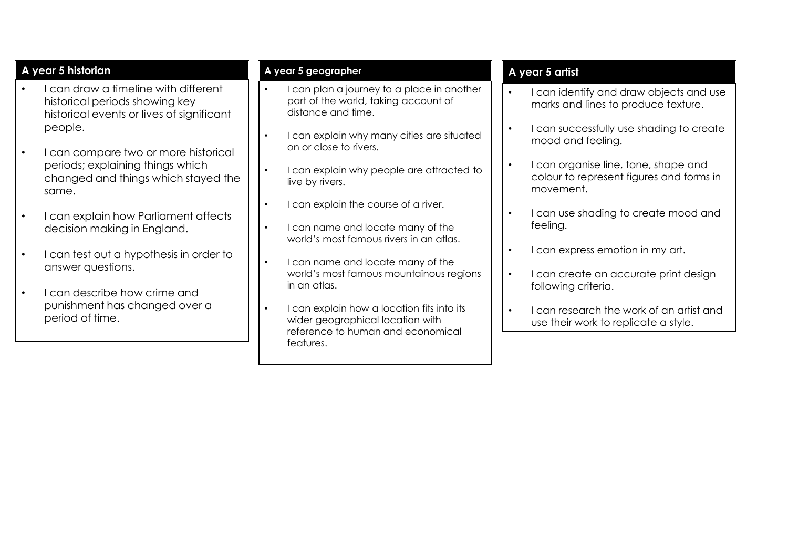# **A year 5 historian**

- I can draw a timeline with different historical periods showing key historical events or lives of significant people.
- I can compare two or more historical periods; explaining things which changed and things which stayed the same.
- I can explain how Parliament affects decision making in England.
- I can test out a hypothesis in order to answer questions.
- I can describe how crime and punishment has changed over a period of time.

### **A year 5 geographer**

- I can plan a journey to a place in another part of the world, taking account of distance and time.
- I can explain why many cities are situated on or close to rivers.
- I can explain why people are attracted to live by rivers.
- I can explain the course of a river.
- I can name and locate many of the world's most famous rivers in an atlas.
- I can name and locate many of the world's most famous mountainous regions in an atlas.
- I can explain how a location fits into its wider geographical location with reference to human and economical features.

#### **A year 5 artist**

- I can identify and draw objects and use marks and lines to produce texture.
- I can successfully use shading to create mood and feeling.
- I can organise line, tone, shape and colour to represent figures and forms in movement.
- I can use shading to create mood and feeling.
- I can express emotion in my art.
- I can create an accurate print design following criteria.
- I can research the work of an artist and use their work to replicate a style.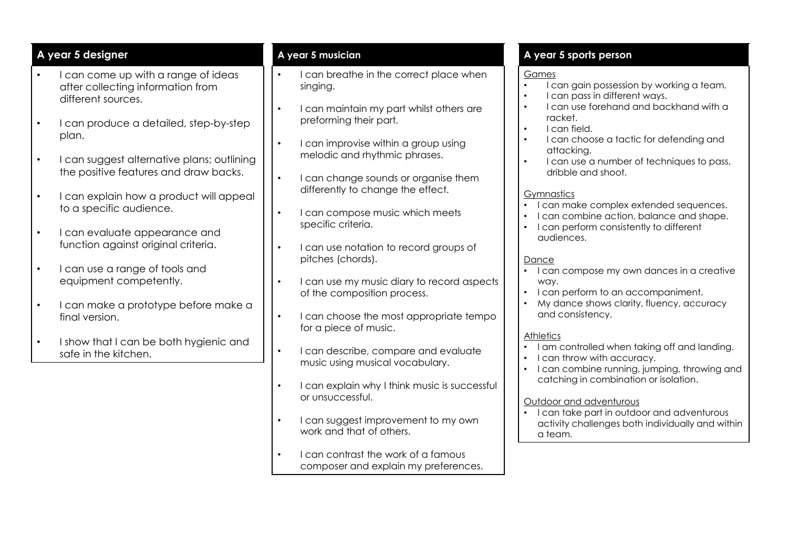# **A year 5 designer**

- I can come up with a range of ideas after collecting information from different sources.
- I can produce a detailed, step-by-step plan.
- I can suggest alternative plans; outlining the positive features and draw backs.
- I can explain how a product will appeal to a specific audience.
- I can evaluate appearance and function against original criteria.
- I can use a range of tools and equipment competently.
- I can make a prototype before make a final version.
- I show that I can be both hygienic and safe in the kitchen.

#### **A year 5 musician**

- I can breathe in the correct place when singing.
- I can maintain my part whilst others are preforming their part.
- I can improvise within a group using melodic and rhythmic phrases.
- I can change sounds or organise them differently to change the effect.
- I can compose music which meets specific criteria.
- I can use notation to record groups of pitches (chords).
- I can use my music diary to record aspects of the composition process.
- I can choose the most appropriate tempo for a piece of music.
- I can describe, compare and evaluate music using musical vocabulary.
- I can explain why I think music is successful or unsuccessful.
- I can suggest improvement to my own work and that of others.
- I can contrast the work of a famous composer and explain my preferences.

# **A year 5 sports person**

#### Games

- I can gain possession by working a team.
- I can pass in different ways.
- I can use forehand and backhand with a racket.
- I can field.
- I can choose a tactic for defending and attacking.
- I can use a number of techniques to pass, dribble and shoot.

#### **Gymnastics**

- I can make complex extended sequences.
- I can combine action, balance and shape.
- I can perform consistently to different audiences.

#### **Dance**

- I can compose my own dances in a creative way.
- I can perform to an accompaniment.
- My dance shows clarity, fluency, accuracy and consistency.

#### **Athletics**

- I am controlled when taking off and landing.
- I can throw with accuracy.
- I can combine running, jumping, throwing and catching in combination or isolation.

#### Outdoor and adventurous

• I can take part in outdoor and adventurous activity challenges both individually and within a team.